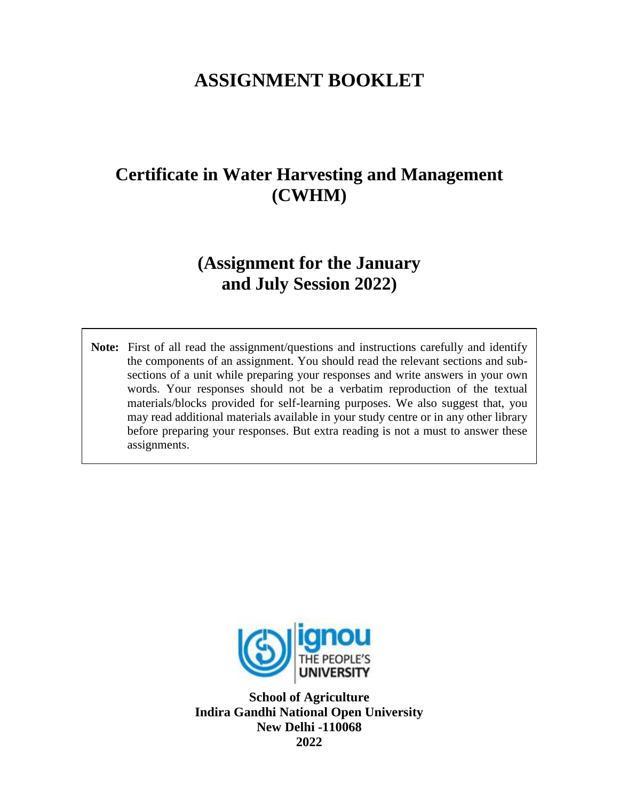# **ASSIGNMENT BOOKLET**

# **Certificate in Water Harvesting and Management (CWHM)**

## **(Assignment for the January and July Session 2022)**

**Note:** First of all read the assignment/questions and instructions carefully and identify the components of an assignment. You should read the relevant sections and subsections of a unit while preparing your responses and write answers in your own words. Your responses should not be a verbatim reproduction of the textual materials/blocks provided for self-learning purposes. We also suggest that, you may read additional materials available in your study centre or in any other library before preparing your responses. But extra reading is not a must to answer these assignments.



**School of Agriculture Indira Gandhi National Open University New Delhi -110068 2022**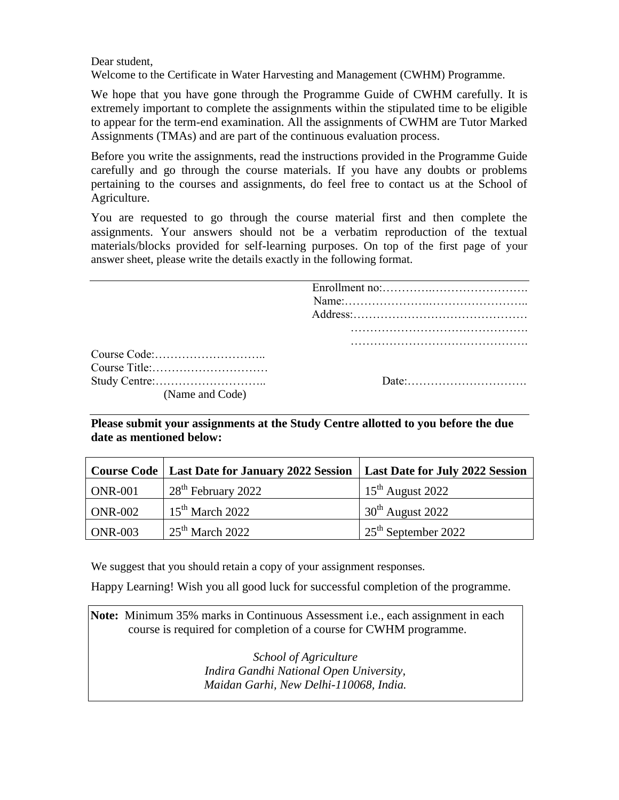Dear student,

Welcome to the Certificate in Water Harvesting and Management (CWHM) Programme.

We hope that you have gone through the Programme Guide of CWHM carefully. It is extremely important to complete the assignments within the stipulated time to be eligible to appear for the term-end examination. All the assignments of CWHM are Tutor Marked Assignments (TMAs) and are part of the continuous evaluation process.

Before you write the assignments, read the instructions provided in the Programme Guide carefully and go through the course materials. If you have any doubts or problems pertaining to the courses and assignments, do feel free to contact us at the School of Agriculture.

You are requested to go through the course material first and then complete the assignments. Your answers should not be a verbatim reproduction of the textual materials/blocks provided for self-learning purposes. On top of the first page of your answer sheet, please write the details exactly in the following format.

| (Name and Code) |  |
|-----------------|--|

**Please submit your assignments at the Study Centre allotted to you before the due date as mentioned below:**

|                | Course Code   Last Date for January 2022 Session   Last Date for July 2022 Session |                              |
|----------------|------------------------------------------------------------------------------------|------------------------------|
| $ONR-001$      | 28 <sup>th</sup> February 2022                                                     | $15^{\text{th}}$ August 2022 |
| <b>ONR-002</b> | $15th$ March 2022                                                                  | $30th$ August 2022           |
| $ONR-003$      | $25th$ March 2022                                                                  | $25th$ September 2022        |

We suggest that you should retain a copy of your assignment responses.

Happy Learning! Wish you all good luck for successful completion of the programme.

**Note:** Minimum 35% marks in Continuous Assessment i.e., each assignment in each course is required for completion of a course for CWHM programme.

> *School of Agriculture Indira Gandhi National Open University, Maidan Garhi, New Delhi-110068, India.*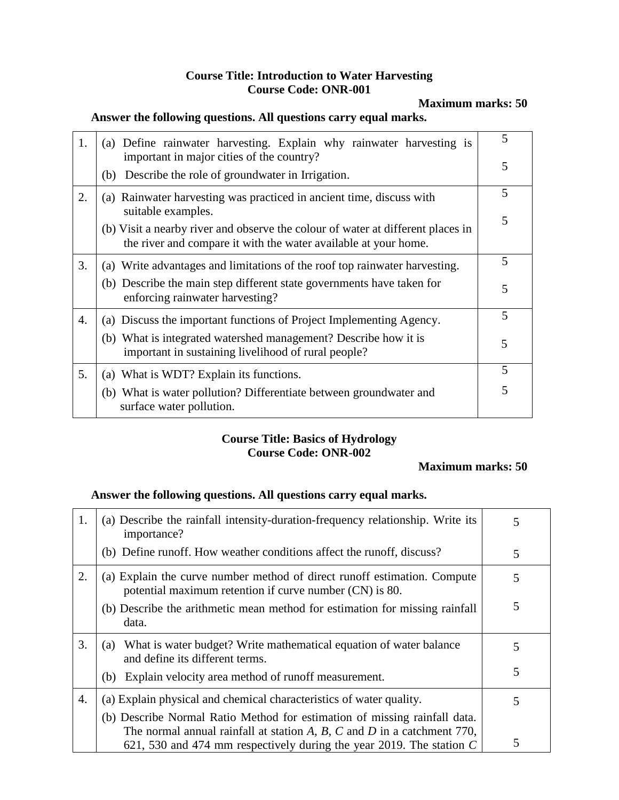#### **Course Title: Introduction to Water Harvesting Course Code: ONR-001**

**Maximum marks: 50**

#### **Answer the following questions. All questions carry equal marks.**

| 1. | (a) Define rainwater harvesting. Explain why rainwater harvesting is<br>important in major cities of the country?                                  | 5 |
|----|----------------------------------------------------------------------------------------------------------------------------------------------------|---|
|    | Describe the role of groundwater in Irrigation.<br>(b)                                                                                             | 5 |
| 2. | (a) Rainwater harvesting was practiced in ancient time, discuss with<br>suitable examples.                                                         | 5 |
|    | (b) Visit a nearby river and observe the colour of water at different places in<br>the river and compare it with the water available at your home. | 5 |
| 3. | (a) Write advantages and limitations of the roof top rainwater harvesting.                                                                         | 5 |
|    | (b) Describe the main step different state governments have taken for<br>enforcing rainwater harvesting?                                           | 5 |
| 4. | (a) Discuss the important functions of Project Implementing Agency.                                                                                | 5 |
|    | (b) What is integrated watershed management? Describe how it is<br>important in sustaining livelihood of rural people?                             | 5 |
| 5. | (a) What is WDT? Explain its functions.                                                                                                            | 5 |
|    | (b) What is water pollution? Differentiate between groundwater and<br>surface water pollution.                                                     | 5 |

#### **Course Title: Basics of Hydrology Course Code: ONR-002**

#### **Maximum marks: 50**

#### **Answer the following questions. All questions carry equal marks.**

| 1. | (a) Describe the rainfall intensity-duration-frequency relationship. Write its<br>importance?                                                                                                                                     | 5 |
|----|-----------------------------------------------------------------------------------------------------------------------------------------------------------------------------------------------------------------------------------|---|
|    | (b) Define runoff. How weather conditions affect the runoff, discuss?                                                                                                                                                             | 5 |
| 2. | (a) Explain the curve number method of direct runoff estimation. Compute<br>potential maximum retention if curve number (CN) is 80.                                                                                               | 5 |
|    | (b) Describe the arithmetic mean method for estimation for missing rainfall<br>data.                                                                                                                                              | 5 |
| 3. | What is water budget? Write mathematical equation of water balance<br>(a)<br>and define its different terms.                                                                                                                      | 5 |
|    | Explain velocity area method of runoff measurement.<br>(b)                                                                                                                                                                        | 5 |
| 4. | (a) Explain physical and chemical characteristics of water quality.                                                                                                                                                               | 5 |
|    | (b) Describe Normal Ratio Method for estimation of missing rainfall data.<br>The normal annual rainfall at station A, B, C and D in a catchment $770$ ,<br>621, 530 and 474 mm respectively during the year 2019. The station $C$ | 5 |